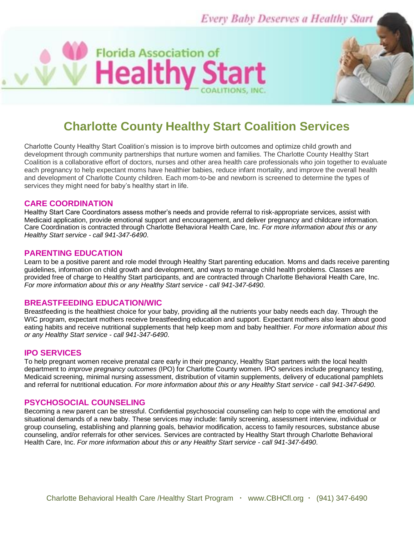**Every Baby Deserves a Healthy Start** 

# **Charlotte County Healthy Start Coalition Services**

**Florida Association of** 

**Healthy Sta** 

Charlotte County Healthy Start Coalition's mission is to improve birth outcomes and optimize child growth and development through community partnerships that nurture women and families. The Charlotte County Healthy Start Coalition is a collaborative effort of doctors, nurses and other area health care professionals who join together to evaluate each pregnancy to help expectant moms have healthier babies, reduce infant mortality, and improve the overall health and development of Charlotte County children. Each mom-to-be and newborn is screened to determine the types of services they might need for baby's healthy start in life.

#### **CARE COORDINATION**

Healthy Start Care Coordinators assess mother's needs and provide referral to risk-appropriate services, assist with Medicaid application, provide emotional support and encouragement, and deliver pregnancy and childcare information. Care Coordination is contracted through Charlotte Behavioral Health Care, Inc. *For more information about this or any Healthy Start service - call 941-347-6490*.

## **PARENTING EDUCATION**

Learn to be a positive parent and role model through Healthy Start parenting education. Moms and dads receive parenting guidelines, information on child growth and development, and ways to manage child health problems. Classes are provided free of charge to Healthy Start participants, and are contracted through Charlotte Behavioral Health Care, Inc. *For more information about this or any Healthy Start service - call 941-347-6490*.

## **BREASTFEEDING EDUCATION/WIC**

Breastfeeding is the healthiest choice for your baby, providing all the nutrients your baby needs each day. Through the WIC program, expectant mothers receive breastfeeding education and support. Expectant mothers also learn about good eating habits and receive nutritional supplements that help keep mom and baby healthier. *For more information about this or any Healthy Start service - call 941-347-6490*.

#### **IPO SERVICES**

To help pregnant women receive prenatal care early in their pregnancy, Healthy Start partners with the local health department to *improve pregnancy outcomes* (IPO) for Charlotte County women. IPO services include pregnancy testing, Medicaid screening, minimal nursing assessment, distribution of vitamin supplements, delivery of educational pamphlets and referral for nutritional education. *For more information about this or any Healthy Start service - call 941-347-6490*.

#### **PSYCHOSOCIAL COUNSELING**

Becoming a new parent can be stressful. Confidential psychosocial counseling can help to cope with the emotional and situational demands of a new baby. These services may include: family screening, assessment interview, individual or group counseling, establishing and planning goals, behavior modification, access to family resources, substance abuse counseling, and/or referrals for other services. Services are contracted by Healthy Start through Charlotte Behavioral Health Care, Inc. *For more information about this or any Healthy Start service - call 941-347-6490*.